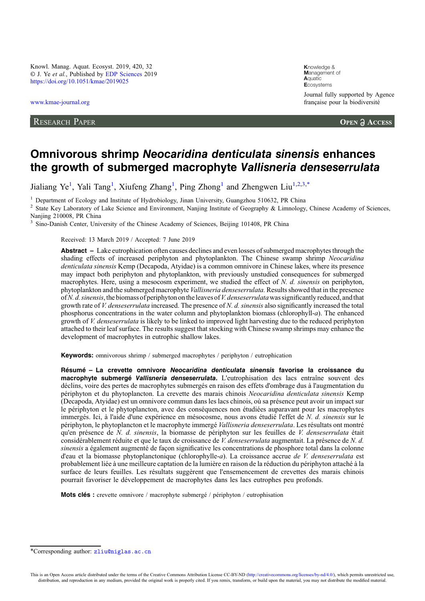Knowl. Manag. Aquat. Ecosyst. 2019, 420, 32 © J. Ye et al., Published by [EDP Sciences](https://www.edpsciences.org) 2019 <https://doi.org/10.1051/kmae/2019025>

[www.kmae-journal.org](https://www.kmae-journal.org)

RESEARCH PAPER

**K**nowledge & **M**anagement of **A**quatic **E**cosystems Journal fully supported by Agence française pour la biodiversité

**OPEN A ACCESS** 

# Omnivorous shrimp Neocaridina denticulata sinensis enhances the growth of submerged macrophyte Vallisneria denseserrulata

Jialiang Ye<sup>1</sup>, Yali Tang<sup>1</sup>, Xiufeng Zhang<sup>1</sup>, Ping Zhong<sup>1</sup> and Zhengwen Liu<sup>1,2,3,\*</sup>

<sup>1</sup> Department of Ecology and Institute of Hydrobiology, Jinan University, Guangzhou 510632, PR China<br><sup>2</sup> State Key Laboratory of Lake Science and Environment, Nanjing Institute of Geography & Limnology, Chinese Academy o Nanjing 210008, PR China

<sup>3</sup> Sino-Danish Center, University of the Chinese Academy of Sciences, Beijing 101408, PR China

Received: 13 March 2019 / Accepted: 7 June 2019

Abstract – Lake eutrophication often causes declines and even losses of submerged macrophytes through the shading effects of increased periphyton and phytoplankton. The Chinese swamp shrimp Neocaridina denticulata sinensis Kemp (Decapoda, Atyidae) is a common omnivore in Chinese lakes, where its presence may impact both periphyton and phytoplankton, with previously unstudied consequences for submerged macrophytes. Here, using a mesocosm experiment, we studied the effect of N. d. sinensis on periphyton, phytoplankton and the submerged macrophyte Vallisneria denseserrulata.Results showed that in the presence of N. d. sinensis, the biomass of periphyton on the leaves of V. denses errulata was significantly reduced, and that growth rate of V. denses errulata increased. The presence of N. d. sinensis also significantly increased the total phosphorus concentrations in the water column and phytoplankton biomass (chlorophyll-a). The enhanced growth of V. denseserrulata is likely to be linked to improved light harvesting due to the reduced periphyton attached to their leaf surface. The results suggest that stocking with Chinese swamp shrimps may enhance the development of macrophytes in eutrophic shallow lakes.

Keywords: omnivorous shrimp / submerged macrophytes / periphyton / eutrophication

Résumé – La crevette omnivore Neocaridina denticulata sinensis favorise la croissance du macrophyte submergé Vallisneria denseserrulata. L'eutrophisation des lacs entraîne souvent des déclins, voire des pertes de macrophytes submergés en raison des effets d'ombrage dus à l'augmentation du périphyton et du phytoplancton. La crevette des marais chinois Neocaridina denticulata sinensis Kemp (Decapoda, Atyidae) est un omnivore commun dans les lacs chinois, où sa présence peut avoir un impact sur le périphyton et le phytoplancton, avec des conséquences non étudiées auparavant pour les macrophytes immergés. Ici, à l'aide d'une expérience en mésocosme, nous avons étudié l'effet de N. d. sinensis sur le périphyton, le phytoplancton et le macrophyte immergé Vallisneria denseserrulata. Les résultats ont montré qu'en présence de  $N$ . d. sinensis, la biomasse de périphyton sur les feuilles de V. denses errulata était considérablement réduite et que le taux de croissance de V. denseserrulata augmentait. La présence de N. d. sinensis a également augmenté de façon significative les concentrations de phosphore total dans la colonne d'eau et la biomasse phytoplanctonique (chlorophylle-a). La croissance accrue de V. denseserrulata est probablement liée à une meilleure captation de la lumière en raison de la réduction du périphyton attaché à la surface de leurs feuilles. Les résultats suggèrent que l'ensemencement de crevettes des marais chinois pourrait favoriser le développement de macrophytes dans les lacs eutrophes peu profonds.

Mots clés : crevette omnivore / macrophyte submergé / périphyton / eutrophisation

<sup>\*</sup>Corresponding author: [zliu@niglas.ac.cn](mailto:zliu@niglas.ac.cn)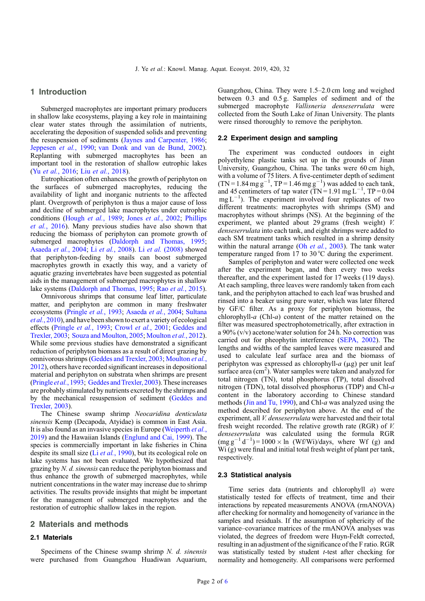## 1 Introduction

Submerged macrophytes are important primary producers in shallow lake ecosystems, playing a key role in maintaining clear water states through the assimilation of nutrients, accelerating the deposition of suspended solids and preventing the resuspension of sediments [\(Jaynes and Carpenter, 1986](#page-5-0); [Jeppesen](#page-5-0) et al., 1990; [van Donk and van de Bund, 2002](#page-5-0)). Replanting with submerged macrophytes has been an important tool in the restoration of shallow eutrophic lakes (Yu et al.[, 2016;](#page-5-0) Liu et al.[, 2018\)](#page-5-0).

Eutrophication often enhances the growth of periphyton on the surfaces of submerged macrophytes, reducing the availability of light and inorganic nutrients to the affected plant. Overgrowth of periphyton is thus a major cause of loss and decline of submerged lake macrophytes under eutrophic conditions ([Hough](#page-5-0) et al., 1989; Jones et al.[, 2002](#page-5-0); [Phillips](#page-5-0) et al.[, 2016](#page-5-0)). Many previous studies have also shown that reducing the biomass of periphyton can promote growth of submerged macrophytes [\(Daldorph and Thomas, 1995](#page-5-0); [Asaeda](#page-4-0) et al., 2004; Li et al.[, 2008](#page-5-0)). Li et al. [\(2008\)](#page-5-0) showed that periphyton-feeding by snails can boost submerged macrophytes growth in exactly this way, and a variety of aquatic grazing invertebrates have been suggested as potential aids in the management of submerged macrophytes in shallow lake systems [\(Daldorph and Thomas, 1995](#page-5-0); Rao et al.[, 2015](#page-5-0)).

Omnivorous shrimps that consume leaf litter, particulate matter, and periphyton are common in many freshwater ecosystems ([Pringle](#page-5-0) et al., 1993; [Asaeda](#page-4-0) et al., 2004; [Sultana](#page-5-0) et al.[, 2010\)](#page-5-0), and have been shownto exert a variety of ecological effects ([Pringle](#page-5-0) et al., 1993; Crowl et al.[, 2001](#page-4-0); [Geddes and](#page-5-0) [Trexler, 2003;](#page-5-0) [Souza and Moulton, 2005;](#page-5-0) [Moulton](#page-5-0) et al., 2012). While some previous studies have demonstrated a significant reduction of periphyton biomass as a result of direct grazing by omnivorous shrimps ([Geddes and Trexler, 2003;](#page-5-0) [Moulton](#page-5-0) et al., [2012](#page-5-0)), others have recorded significant increases in depositional material and periphyton on substrata when shrimps are present ([Pringle](#page-5-0) *et al.*, 1993; Geddes and Trexler, 2003). These increases are probably stimulated by nutrients excreted by the shrimps and by the mechanical resuspension of sediment [\(Geddes and](#page-5-0) [Trexler, 2003\)](#page-5-0).

The Chinese swamp shrimp Neocaridina denticulata sinensis Kemp (Decapoda, Atyidae) is common in East Asia. It is also found as an invasive species in Europe ([Weiperth](#page-5-0) et al., [2019](#page-5-0)) and the Hawaiian Islands [\(Englund and Cai, 1999](#page-5-0)). The species is commercially important in lake fisheries in China despite its small size  $(Li et al., 1990)$  $(Li et al., 1990)$ , but its ecological role on lake systems has not been evaluated. We hypothesized that grazing by N. d. sinensis can reduce the periphyton biomass and thus enhance the growth of submerged macrophytes, while nutrient concentrations in the water may increase due to shrimp activities. The results provide insights that might be important for the management of submerged macrophytes and the restoration of eutrophic shallow lakes in the region.

#### 2 Materials and methods

# 2.1 Materials

Specimens of the Chinese swamp shrimp  $N$ .  $d$ . sinensis were purchased from Guangzhou Huadiwan Aquarium, Guangzhou, China. They were 1.5–2.0 cm long and weighed between 0.3 and 0.5 g. Samples of sediment and of the submerged macrophyte Vallisneria denseserrulata were collected from the South Lake of Jinan University. The plants were rinsed thoroughly to remove the periphyton.

#### 2.2 Experiment design and sampling

The experiment was conducted outdoors in eight polyethylene plastic tanks set up in the grounds of Jinan University, Guangzhou, China. The tanks were 60 cm high, with a volume of 75 liters. A five-centimeter depth of sediment  $(TN = 1.84 \text{ mg g}^{-1}, TP = 1.46 \text{ mg g}^{-1})$  was added to each tank, and 45 centimeters of tap water  $(TN = 1.91$  mg  $L^{-1}$ , TP = 0.04  $mg L^{-1}$ ). The experiment involved four replicates of two different treatments: macrophytes with shrimps (SM) and macrophytes without shrimps (NS). At the beginning of the experiment, we planted about 29 grams (fresh weight) V. denseserrulata into each tank, and eight shrimps were added to each SM treatment tanks which resulted in a shrimp density within the natural arrange (Oh et al.[, 2003](#page-5-0)). The tank water temperature ranged from 17 to 30 °C during the experiment.

Samples of periphyton and water were collected one week after the experiment began, and then every two weeks thereafter, and the experiment lasted for 17 weeks (119 days). At each sampling, three leaves were randomly taken from each tank, and the periphyton attached to each leaf was brushed and rinsed into a beaker using pure water, which was later filtered by GF/C filter. As a proxy for periphyton biomass, the chlorophyll- $a$  (Chl- $a$ ) content of the matter retained on the filter was measured spectrophotometrically, after extraction in a 90% (v/v) acetone/water solution for 24 h. No correction was carried out for pheophytin interference [\(SEPA, 2002\)](#page-5-0). The lengths and widths of the sampled leaves were measured and used to calculate leaf surface area and the biomass of periphyton was expressed as chlorophyll- $a$  ( $\mu$ g) per unit leaf surface area (cm<sup>2</sup>). Water samples were taken and analyzed for total nitrogen (TN), total phosphorus (TP), total dissolved nitrogen (TDN), total dissolved phosphorus (TDP) and Chl-a content in the laboratory according to Chinese standard methods ([Jin and Tu, 1990](#page-5-0)), and Chl-a was analyzed using the method described for periphyton above. At the end of the experiment, all V. denseserrulata were harvested and their total fresh weight recorded. The relative growth rate (RGR) of V. denseserrulata was calculated using the formula RGR  $(\text{mg g}^{-1} d^{-1}) = 1000 \times \text{ln}$  (Wf/Wi)/days, where Wf (g) and  $W_1(g)$  were final and initial total fresh weight of plant per tank, respectively.

#### 2.3 Statistical analysis

Time series data (nutrients and chlorophyll a) were statistically tested for effects of treatment, time and their interactions by repeated measurements ANOVA (rmANOVA) after checking for normality and homogeneity of variance in the samples and residuals. If the assumption of sphericity of the variance–covariance matrices of the rmANOVA analyses was violated, the degrees of freedom were Huyn-Feldt corrected, resulting in an adjustment of the significance of the F ratio. RGR was statistically tested by student *t*-test after checking for normality and homogeneity. All comparisons were performed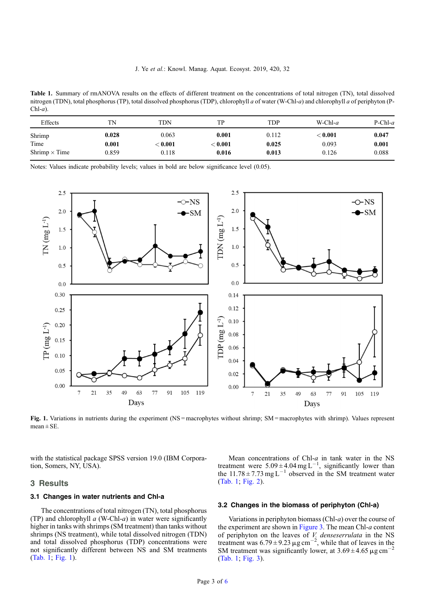Table 1. Summary of rmANOVA results on the effects of different treatment on the concentrations of total nitrogen (TN), total dissolved nitrogen (TDN), total phosphorus (TP), total dissolved phosphorus (TDP), chlorophyll a of water (W-Chl-a) and chlorophyll a of periphyton (P- $Chl-a$ ).

| Effects              | TN    | <b>TDN</b>     | TP.            | <b>TDP</b> | W-Chl- $a$ | $P-Chl-a$ |
|----------------------|-------|----------------|----------------|------------|------------|-----------|
| Shrimp               | 0.028 | 0.063          | 0.001          | 0.112      | $<$ 0.001  | 0.047     |
| Time                 | 0.001 | $<$ 0.001 $\,$ | $<$ 0.001 $\,$ | 0.025      | 0.093      | 0.001     |
| Shrimp $\times$ Time | 0.859 | 0.118          | 0.016          | 0.013      | 0.126      | 0.088     |

Notes: Values indicate probability levels; values in bold are below significance level (0.05).



Fig. 1. Variations in nutrients during the experiment (NS = macrophytes without shrimp; SM = macrophytes with shrimp). Values represent mean  $\pm$  SE.

with the statistical package SPSS version 19.0 (IBM Corporation, Somers, NY, USA).

## 3 Results

#### 3.1 Changes in water nutrients and Chl-a

The concentrations of total nitrogen (TN), total phosphorus (TP) and chlorophyll  $a$  (W-Chl- $a$ ) in water were significantly higher in tanks with shrimps (SM treatment) than tanks without shrimps (NS treatment), while total dissolved nitrogen (TDN) and total dissolved phosphorus (TDP) concentrations were not significantly different between NS and SM treatments (Tab. 1; Fig. 1).

Mean concentrations of Chl- $a$  in tank water in the NS treatment were  $5.09 \pm 4.04$  mg L<sup>-1</sup>, significantly lower than the  $11.78 \pm 7.73$  mg L<sup>-1</sup> observed in the SM treatment water (Tab. 1; [Fig. 2\)](#page-3-0).

### 3.2 Changes in the biomass of periphyton (Chl-a)

Variations in periphyton biomass (Chl-a) over the course of the experiment are shown in [Figure 3](#page-3-0). The mean Chl- $a$  content of periphyton on the leaves of V. denseserrulata in the NS treatment was  $6.79 \pm 9.23 \,\mu\text{g cm}^{-2}$ , while that of leaves in the SM treatment was significantly lower, at  $3.69 \pm 4.65 \,\mu g \text{ cm}^{-1}$ (Tab. 1; [Fig. 3\)](#page-3-0).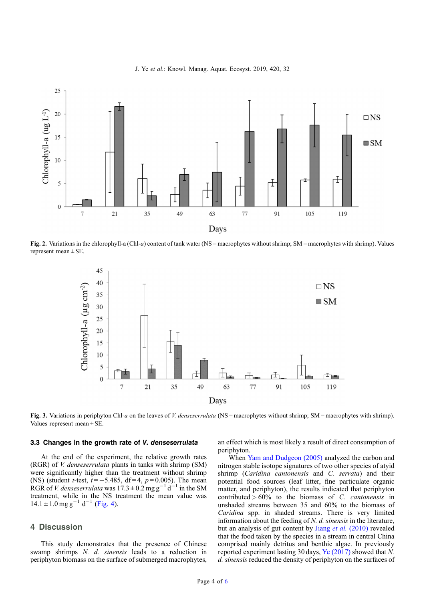

<span id="page-3-0"></span>

Fig. 2. Variations in the chlorophyll-a (Chl-a) content of tank water (NS = macrophytes without shrimp; SM = macrophytes with shrimp). Values represent mean  $\pm$  SE.



Fig. 3. Variations in periphyton Chl-a on the leaves of V. denses errulata (NS = macrophytes without shrimp; SM = macrophytes with shrimp). Values represent mean ± SE.

# 3.3 Changes in the growth rate of V. denseserrulata

At the end of the experiment, the relative growth rates (RGR) of V. denseserrulata plants in tanks with shrimp (SM) were significantly higher than the treatment without shrimp (NS) (student *t*-test,  $t = -5.485$ , df=4,  $p = 0.005$ ). The mean RGR of V. denses errulata was  $17.3 \pm 0.2$  mg g<sup>-1</sup> d<sup>-1</sup> in the SM treatment, while in the NS treatment the mean value was  $14.1 \pm 1.0$  mg g<sup>-1</sup> d<sup>-1</sup> [\(Fig. 4](#page-4-0)).

# 4 Discussion

This study demonstrates that the presence of Chinese swamp shrimps N. d. sinensis leads to a reduction in periphyton biomass on the surface of submerged macrophytes, an effect which is most likely a result of direct consumption of periphyton.

When [Yam and Dudgeon \(2005\)](#page-5-0) analyzed the carbon and nitrogen stable isotope signatures of two other species of atyid shrimp (Caridina cantonensis and C. serrata) and their potential food sources (leaf litter, fine particulate organic matter, and periphyton), the results indicated that periphyton contributed  $>60\%$  to the biomass of C. cantonensis in unshaded streams between 35 and 60% to the biomass of Caridina spp. in shaded streams. There is very limited information about the feeding of  $N$ .  $d$ . sinensis in the literature, but an analysis of gut content by Jiang et al. [\(2010\)](#page-5-0) revealed that the food taken by the species in a stream in central China comprised mainly detritus and benthic algae. In previously reported experiment lasting 30 days, [Ye \(2017\)](#page-5-0) showed that N. d. sinensis reduced the density of periphyton on the surfaces of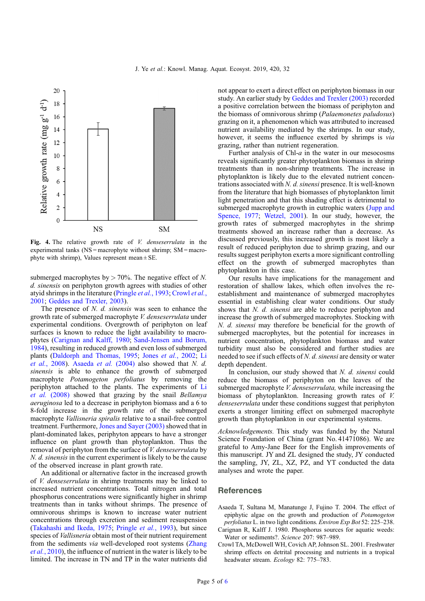<span id="page-4-0"></span>

Fig. 4. The relative growth rate of *V. denseserrulata* in the experimental tanks ( $NS =$  macrophyte without shrimp;  $SM =$  macrophyte with shrimp), Values represent mean  $\pm$  SE.

submerged macrophytes by  $> 70\%$ . The negative effect of N. d. sinensis on periphyton growth agrees with studies of other atyid shrimps in the literature [\(Pringle](#page-5-0) et al., 1993; Crowl et al., 2001; [Geddes and Trexler, 2003\)](#page-5-0).

The presence of N. d. sinensis was seen to enhance the growth rate of submerged macrophyte V. denseserrulata under experimental conditions. Overgrowth of periphyton on leaf surfaces is known to reduce the light availability to macrophytes (Carignan and Kalff, 1980; [Sand-Jensen and Borum,](#page-5-0) [1984](#page-5-0)), resulting in reduced growth and even loss of submerged plants ([Daldorph and Thomas, 1995;](#page-5-0) Jones et al.[, 2002](#page-5-0); [Li](#page-5-0) et al.[, 2008\)](#page-5-0). Asaeda et al. (2004) also showed that N. d. sinensis is able to enhance the growth of submerged macrophyte Potamogeton perfoliatus by removing the periphyton attached to the plants. The experiments of [Li](#page-5-0) et al. [\(2008\)](#page-5-0) showed that grazing by the snail Bellamya aeruginosa led to a decrease in periphyton biomass and a 6 to 8-fold increase in the growth rate of the submerged macrophyte Vallisneria spiralis relative to a snail-free control treatment. Furthermore, [Jones and Sayer \(2003\)](#page-5-0) showed that in plant-dominated lakes, periphyton appears to have a stronger influence on plant growth than phytoplankton. Thus the removal of periphyton from the surface of V. denseserrulata by N. d. sinensis in the current experiment is likely to be the cause of the observed increase in plant growth rate.

An additional or alternative factor in the increased growth of V. denseserrulata in shrimp treatments may be linked to increased nutrient concentrations. Total nitrogen and total phosphorus concentrations were significantly higher in shrimp treatments than in tanks without shrimps. The presence of omnivorous shrimps is known to increase water nutrient concentrations through excretion and sediment resuspension ([Takahashi and Ikeda, 1975;](#page-5-0) [Pringle](#page-5-0) et al., 1993), but since species of Vallisneria obtain most of their nutrient requirement from the sediments via well-developed root systems [\(Zhang](#page-5-0) et al.[, 2010](#page-5-0)), the influence of nutrient in the water is likely to be limited. The increase in TN and TP in the water nutrients did not appear to exert a direct effect on periphyton biomass in our study. An earlier study by [Geddes and Trexler \(2003\)](#page-5-0) recorded a positive correlation between the biomass of periphyton and the biomass of omnivorous shrimp (Palaemonetes paludosus) grazing on it, a phenomenon which was attributed to increased nutrient availability mediated by the shrimps. In our study, however, it seems the influence exerted by shrimps is via grazing, rather than nutrient regeneration.

Further analysis of Chl- $a$  in the water in our mesocosms reveals significantly greater phytoplankton biomass in shrimp treatments than in non-shrimp treatments. The increase in phytoplankton is likely due to the elevated nutrient concentrations associated with N. d. sinensi presence. It is well-known from the literature that high biomasses of phytoplankton limit light penetration and that this shading effect is detrimental to submerged macrophyte growth in eutrophic waters ([Jupp and](#page-5-0) [Spence, 1977](#page-5-0); [Wetzel, 2001\)](#page-5-0). In our study, however, the growth rates of submerged macrophytes in the shrimp treatments showed an increase rather than a decrease. As discussed previously, this increased growth is most likely a result of reduced periphyton due to shrimp grazing, and our results suggest periphyton exerts a more significant controlling effect on the growth of submerged macrophytes than phytoplankton in this case.

Our results have implications for the management and restoration of shallow lakes, which often involves the reestablishment and maintenance of submerged macrophytes essential in establishing clear water conditions. Our study shows that *N. d. sinensi* are able to reduce periphyton and increase the growth of submerged macrophytes. Stocking with N. d. sinensi may therefore be beneficial for the growth of submerged macrophytes, but the potential for increases in nutrient concentration, phytoplankton biomass and water turbidity must also be considered and further studies are needed to see if such effects of N. d. sinensi are density or water depth dependent.

In conclusion, our study showed that N. d. sinensi could reduce the biomass of periphyton on the leaves of the submerged macrophyte *V. denseserrulata*, while increasing the biomass of phytoplankton. Increasing growth rates of V. denseserrulata under these conditions suggest that periphyton exerts a stronger limiting effect on submerged macrophyte growth than phytoplankton in our experimental systems.

Acknowledgements. This study was funded by the Natural Science Foundation of China (grant No. 41471086). We are grateful to Amy-Jane Beer for the English improvements of this manuscript. JY and ZL designed the study, JY conducted the sampling, JY, ZL, XZ, PZ, and YT conducted the data analyses and wrote the paper.

## **References**

- Asaeda T, Sultana M, Manatunge J, Fujino T. 2004. The effect of epiphytic algae on the growth and production of Potamogeton perfoliatus L. in two light conditions. Environ Exp Bot 52: 225–238.
- Carignan R, Kalff J. 1980. Phosphorus sources for aquatic weeds: Water or sediments?. Science 207: 987–989.
- Crowl TA, McDowell WH, Covich AP, Johnson SL. 2001. Freshwater shrimp effects on detrital processing and nutrients in a tropical headwater stream. Ecology 82: 775–783.